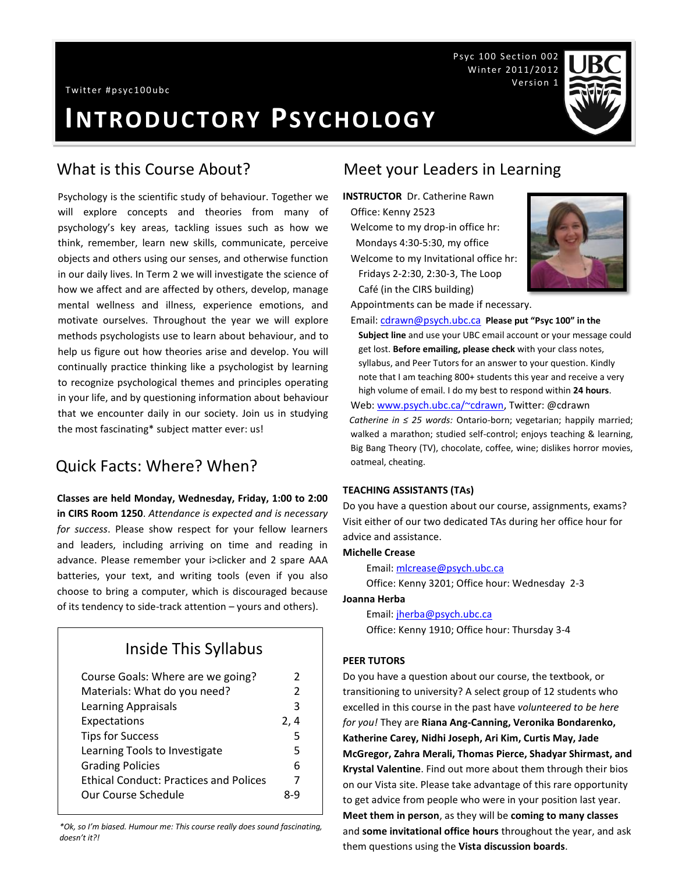Psyc 100 Section 002 Winter 2011/2012 Version 1

# **INTRODUCTORY PSYCHOLOGY**

Psychology is the scientific study of behaviour. Together we will explore concepts and theories from many of psychology's key areas, tackling issues such as how we think, remember, learn new skills, communicate, perceive objects and others using our senses, and otherwise function in our daily lives. In Term 2 we will investigate the science of how we affect and are affected by others, develop, manage mental wellness and illness, experience emotions, and motivate ourselves. Throughout the year we will explore methods psychologists use to learn about behaviour, and to help us figure out how theories arise and develop. You will continually practice thinking like a psychologist by learning to recognize psychological themes and principles operating in your life, and by questioning information about behaviour that we encounter daily in our society. Join us in studying the most fascinating\* subject matter ever: us!

## Quick Facts: Where? When?

**Classes are held Monday, Wednesday, Friday, 1:00 to 2:00 in CIRS Room 1250**. *Attendance is expected and is necessary for success*. Please show respect for your fellow learners and leaders, including arriving on time and reading in advance. Please remember your i>clicker and 2 spare AAA batteries, your text, and writing tools (even if you also choose to bring a computer, which is discouraged because of its tendency to side-track attention – yours and others).

## Inside This Syllabus

| Course Goals: Where are we going?             | 2    |
|-----------------------------------------------|------|
| Materials: What do you need?                  | 2    |
| Learning Appraisals                           | з    |
| Expectations                                  | 2, 4 |
| <b>Tips for Success</b>                       | 5    |
| Learning Tools to Investigate                 | 5    |
| <b>Grading Policies</b>                       | 6    |
| <b>Ethical Conduct: Practices and Polices</b> | 7    |
| Our Course Schedule                           | 8-9  |
|                                               |      |

*\*Ok, so I'm biased. Humour me: This course really does sound fascinating, doesn't it?!*

## What is this Course About? Meet your Leaders in Learning

**INSTRUCTOR** Dr. Catherine Rawn Office: Kenny 2523 Welcome to my drop-in office hr: Mondays 4:30-5:30, my office Welcome to my Invitational office hr: Fridays 2-2:30, 2:30-3, The Loop Café (in the CIRS building)



Appointments can be made if necessary.

Email[: cdrawn@psych.ubc.ca](mailto:cdrawn@psych.ubc.ca) **Please put "Psyc 100" in the Subject line** and use your UBC email account or your message could get lost. **Before emailing, please check** with your class notes, syllabus, and Peer Tutors for an answer to your question. Kindly note that I am teaching 800+ students this year and receive a very high volume of email. I do my best to respond within **24 hours**. Web: [www.psych.ubc.ca/~cdrawn,](http://www.psych.ubc.ca/~cdrawn) Twitter: @cdrawn *Catherine in ≤ 25 words:* Ontario-born; vegetarian; happily married; walked a marathon; studied self-control; enjoys teaching & learning, Big Bang Theory (TV), chocolate, coffee, wine; dislikes horror movies, oatmeal, cheating.

#### **TEACHING ASSISTANTS (TAs)**

Do you have a question about our course, assignments, exams? Visit either of our two dedicated TAs during her office hour for advice and assistance.

#### **Michelle Crease**

Email[: mlcrease@psych.ubc.ca](mailto:mlcrease@psych.ubc.ca)

Office: Kenny 3201; Office hour: Wednesday 2-3

**Joanna Herba**

Email[: jherba@psych.ubc.ca](mailto:jherba@psych.ubc.ca) Office: Kenny 1910; Office hour: Thursday 3-4

#### **PEER TUTORS**

Do you have a question about our course, the textbook, or transitioning to university? A select group of 12 students who excelled in this course in the past have *volunteered to be here for you!* They are **Riana Ang-Canning, Veronika Bondarenko, Katherine Carey, Nidhi Joseph, Ari Kim, Curtis May, Jade McGregor, Zahra Merali, Thomas Pierce, Shadyar Shirmast, and Krystal Valentine**. Find out more about them through their bios on our Vista site. Please take advantage of this rare opportunity to get advice from people who were in your position last year. **Meet them in person**, as they will be **coming to many classes** and **some invitational office hours** throughout the year, and ask them questions using the **Vista discussion boards**.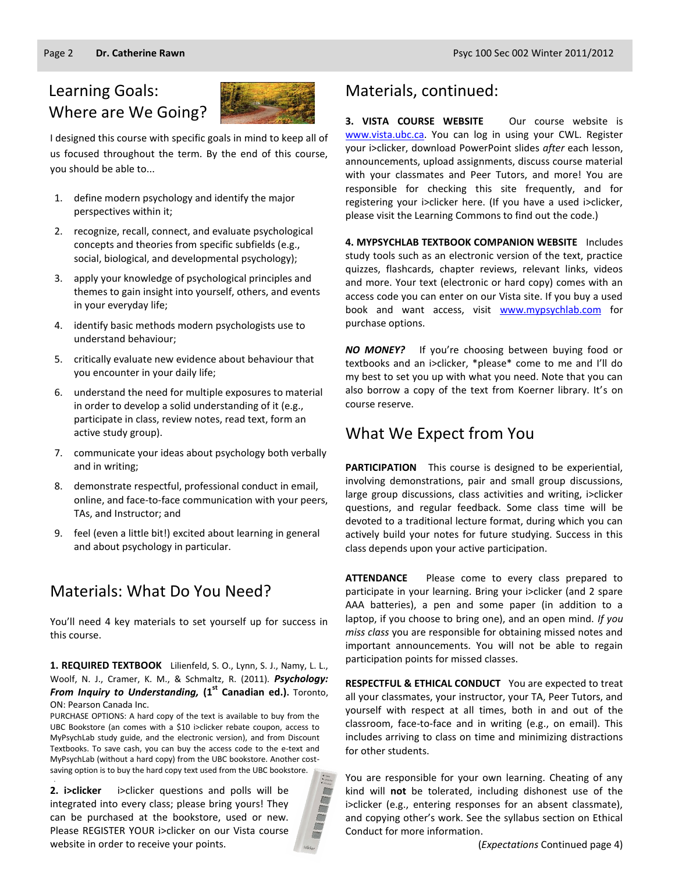## Learning Goals: Where are We Going?



I designed this course with specific goals in mind to keep all of us focused throughout the term. By the end of this course, you should be able to...

- 1. define modern psychology and identify the major perspectives within it;
- 2. recognize, recall, connect, and evaluate psychological concepts and theories from specific subfields (e.g., social, biological, and developmental psychology);
- 3. apply your knowledge of psychological principles and themes to gain insight into yourself, others, and events in your everyday life;
- 4. identify basic methods modern psychologists use to understand behaviour;
- 5. critically evaluate new evidence about behaviour that you encounter in your daily life;
- 6. understand the need for multiple exposures to material in order to develop a solid understanding of it (e.g., participate in class, review notes, read text, form an active study group).
- 7. communicate your ideas about psychology both verbally and in writing;
- 8. demonstrate respectful, professional conduct in email, online, and face-to-face communication with your peers, TAs, and Instructor; and
- 9. feel (even a little bit!) excited about learning in general and about psychology in particular.

## Materials: What Do You Need?

You'll need 4 key materials to set yourself up for success in this course.

#### **1. REQUIRED TEXTBOOK** Lilienfeld, S. O., Lynn, S. J., Namy, L. L., Woolf, N. J., Cramer, K. M., & Schmaltz, R. (2011). *Psychology: From Inquiry to Understanding,* **(1st Canadian ed.).** Toronto, ON: Pearson Canada Inc.

PURCHASE OPTIONS: A hard copy of the text is available to buy from the UBC Bookstore (an comes with a \$10 i>clicker rebate coupon, access to MyPsychLab study guide, and the electronic version), and from Discount Textbooks. To save cash, you can buy the access code to the e-text and MyPsychLab (without a hard copy) from the UBC bookstore. Another costsaving option is to buy the hard copy text used from the UBC bookstore.

**2. i>clicker** i>clicker questions and polls will be integrated into every class; please bring yours! They can be purchased at the bookstore, used or new. Please REGISTER YOUR i>clicker on our Vista course website in order to receive your points.

.

## Materials, continued:

**3. VISTA COURSE WEBSITE** Our course website is [www.vista.ubc.ca.](http://www.vista.ubc.ca/) You can log in using your CWL. Register your i>clicker, download PowerPoint slides *after* each lesson, announcements, upload assignments, discuss course material with your classmates and Peer Tutors, and more! You are responsible for checking this site frequently, and for registering your i>clicker here. (If you have a used i>clicker, please visit the Learning Commons to find out the code.)

**4. MYPSYCHLAB TEXTBOOK COMPANION WEBSITE** Includes study tools such as an electronic version of the text, practice quizzes, flashcards, chapter reviews, relevant links, videos and more. Your text (electronic or hard copy) comes with an access code you can enter on our Vista site. If you buy a used book and want access, visit [www.mypsychlab.com](http://www.mypsychlab.com/) for purchase options.

*NO MONEY?* If you're choosing between buying food or textbooks and an i>clicker, \*please\* come to me and I'll do my best to set you up with what you need. Note that you can also borrow a copy of the text from Koerner library. It's on course reserve.

## What We Expect from You

**PARTICIPATION** This course is designed to be experiential, involving demonstrations, pair and small group discussions, large group discussions, class activities and writing, i>clicker questions, and regular feedback. Some class time will be devoted to a traditional lecture format, during which you can actively build your notes for future studying. Success in this class depends upon your active participation.

**ATTENDANCE** Please come to every class prepared to participate in your learning. Bring your i>clicker (and 2 spare AAA batteries), a pen and some paper (in addition to a laptop, if you choose to bring one), and an open mind. *If you miss class* you are responsible for obtaining missed notes and important announcements. You will not be able to regain participation points for missed classes.

**RESPECTFUL & ETHICAL CONDUCT** You are expected to treat all your classmates, your instructor, your TA, Peer Tutors, and yourself with respect at all times, both in and out of the classroom, face-to-face and in writing (e.g., on email). This includes arriving to class on time and minimizing distractions for other students.

You are responsible for your own learning. Cheating of any kind will **not** be tolerated, including dishonest use of the i>clicker (e.g., entering responses for an absent classmate), and copying other's work. See the syllabus section on Ethical Conduct for more information.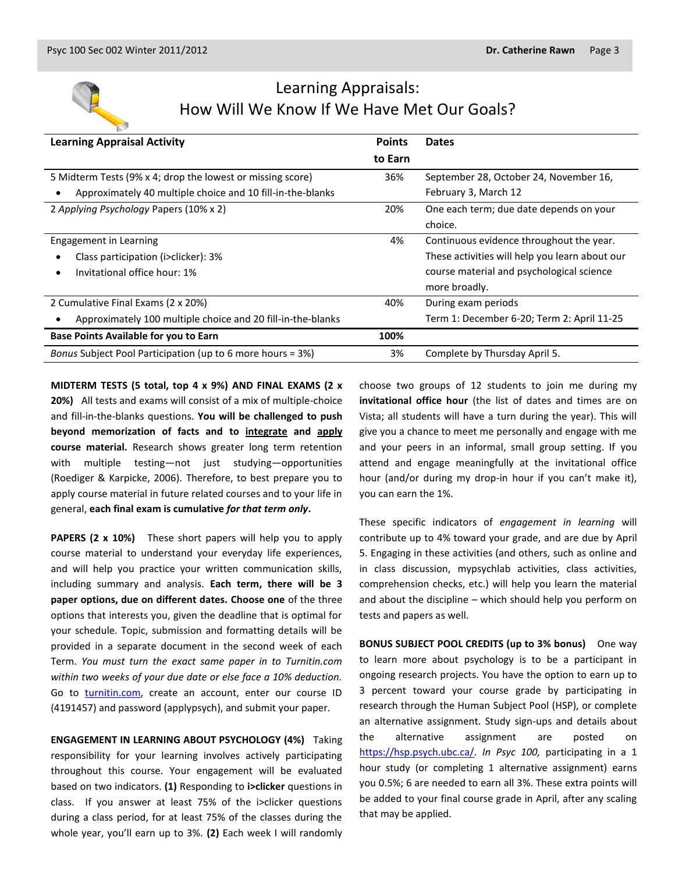

## Learning Appraisals: How Will We Know If We Have Met Our Goals?

| <b>Learning Appraisal Activity</b>                              | <b>Points</b> | <b>Dates</b>                                   |
|-----------------------------------------------------------------|---------------|------------------------------------------------|
|                                                                 | to Earn       |                                                |
| 5 Midterm Tests (9% x 4; drop the lowest or missing score)      | 36%           | September 28, October 24, November 16,         |
| Approximately 40 multiple choice and 10 fill-in-the-blanks<br>٠ |               | February 3, March 12                           |
| 2 Applying Psychology Papers (10% x 2)                          | 20%           | One each term; due date depends on your        |
|                                                                 |               | choice.                                        |
| Engagement in Learning                                          | 4%            | Continuous evidence throughout the year.       |
| Class participation (i>clicker): 3%                             |               | These activities will help you learn about our |
| Invitational office hour: 1%<br>٠                               |               | course material and psychological science      |
|                                                                 |               | more broadly.                                  |
| 2 Cumulative Final Exams (2 x 20%)                              | 40%           | During exam periods                            |
| Approximately 100 multiple choice and 20 fill-in-the-blanks     |               | Term 1: December 6-20; Term 2: April 11-25     |
| Base Points Available for you to Earn                           | 100%          |                                                |
| Bonus Subject Pool Participation (up to 6 more hours = 3%)      | 3%            | Complete by Thursday April 5.                  |

**MIDTERM TESTS (5 total, top 4 x 9%) AND FINAL EXAMS (2 x 20%)** All tests and exams will consist of a mix of multiple-choice and fill-in-the-blanks questions. **You will be challenged to push beyond memorization of facts and to integrate and apply course material.** Research shows greater long term retention with multiple testing—not just studying—opportunities (Roediger & Karpicke, 2006). Therefore, to best prepare you to apply course material in future related courses and to your life in general, **each final exam is cumulative** *for that term only***.**

**PAPERS (2 x 10%)** These short papers will help you to apply course material to understand your everyday life experiences, and will help you practice your written communication skills, including summary and analysis. **Each term, there will be 3 paper options, due on different dates. Choose one** of the three options that interests you, given the deadline that is optimal for your schedule. Topic, submission and formatting details will be provided in a separate document in the second week of each Term. *You must turn the exact same paper in to Turnitin.com within two weeks of your due date or else face a 10% deduction.* Go to [turnitin.com,](http://www.turnitin.com/) create an account, enter our course ID (4191457) and password (applypsych), and submit your paper.

**ENGAGEMENT IN LEARNING ABOUT PSYCHOLOGY (4%)** Taking responsibility for your learning involves actively participating throughout this course. Your engagement will be evaluated based on two indicators. **(1)** Responding to **i>clicker** questions in class. If you answer at least 75% of the i>clicker questions during a class period, for at least 75% of the classes during the whole year, you'll earn up to 3%. **(2)** Each week I will randomly choose two groups of 12 students to join me during my **invitational office hour** (the list of dates and times are on Vista; all students will have a turn during the year). This will give you a chance to meet me personally and engage with me and your peers in an informal, small group setting. If you attend and engage meaningfully at the invitational office hour (and/or during my drop-in hour if you can't make it), you can earn the 1%.

These specific indicators of *engagement in learning* will contribute up to 4% toward your grade, and are due by April 5. Engaging in these activities (and others, such as online and in class discussion, mypsychlab activities, class activities, comprehension checks, etc.) will help you learn the material and about the discipline – which should help you perform on tests and papers as well.

**BONUS SUBJECT POOL CREDITS (up to 3% bonus)** One way to learn more about psychology is to be a participant in ongoing research projects. You have the option to earn up to 3 percent toward your course grade by participating in research through the Human Subject Pool (HSP), or complete an alternative assignment. Study sign-ups and details about the alternative assignment are posted on [https://hsp.psych.ubc.ca/.](https://hsp.psych.ubc.ca/) *In Psyc 100,* participating in a 1 hour study (or completing 1 alternative assignment) earns you 0.5%; 6 are needed to earn all 3%. These extra points will be added to your final course grade in April, after any scaling that may be applied.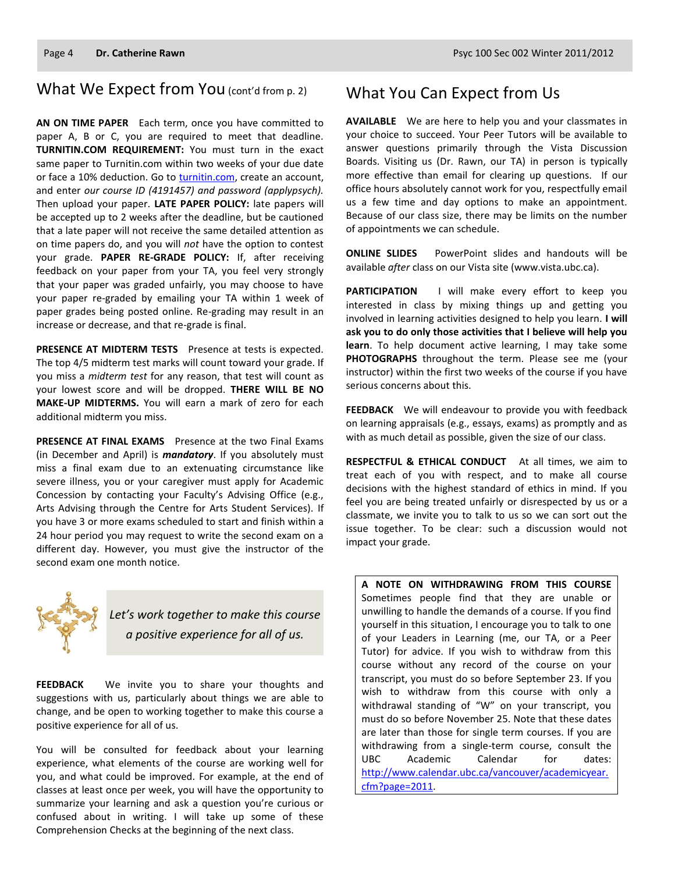## What We Expect from You (cont'd from p. 2)

**AN ON TIME PAPER** Each term, once you have committed to paper A, B or C, you are required to meet that deadline. **TURNITIN.COM REQUIREMENT:** You must turn in the exact same paper to Turnitin.com within two weeks of your due date or face a 10% deduction. Go to [turnitin.com,](http://www.turnitin.com/) create an account, and enter *our course ID (4191457) and password (applypsych).* Then upload your paper. **LATE PAPER POLICY:** late papers will be accepted up to 2 weeks after the deadline, but be cautioned that a late paper will not receive the same detailed attention as on time papers do, and you will *not* have the option to contest your grade. **PAPER RE-GRADE POLICY:** If, after receiving feedback on your paper from your TA, you feel very strongly that your paper was graded unfairly, you may choose to have your paper re-graded by emailing your TA within 1 week of paper grades being posted online. Re-grading may result in an increase or decrease, and that re-grade is final.

**PRESENCE AT MIDTERM TESTS** Presence at tests is expected. The top 4/5 midterm test marks will count toward your grade. If you miss a *midterm test* for any reason, that test will count as your lowest score and will be dropped. **THERE WILL BE NO MAKE-UP MIDTERMS.** You will earn a mark of zero for each additional midterm you miss.

PRESENCE AT FINAL EXAMS Presence at the two Final Exams (in December and April) is *mandatory*. If you absolutely must miss a final exam due to an extenuating circumstance like severe illness, you or your caregiver must apply for Academic Concession by contacting your Faculty's Advising Office (e.g., Arts Advising through the Centre for Arts Student Services). If you have 3 or more exams scheduled to start and finish within a 24 hour period you may request to write the second exam on a different day. However, you must give the instructor of the second exam one month notice.



*Let's work together to make this course a positive experience for all of us.*

**FEEDBACK** We invite you to share your thoughts and suggestions with us, particularly about things we are able to change, and be open to working together to make this course a positive experience for all of us.

You will be consulted for feedback about your learning experience, what elements of the course are working well for you, and what could be improved. For example, at the end of classes at least once per week, you will have the opportunity to summarize your learning and ask a question you're curious or confused about in writing. I will take up some of these Comprehension Checks at the beginning of the next class.

## What You Can Expect from Us

**AVAILABLE** We are here to help you and your classmates in your choice to succeed. Your Peer Tutors will be available to answer questions primarily through the Vista Discussion Boards. Visiting us (Dr. Rawn, our TA) in person is typically more effective than email for clearing up questions. If our office hours absolutely cannot work for you, respectfully email us a few time and day options to make an appointment. Because of our class size, there may be limits on the number of appointments we can schedule.

**ONLINE SLIDES** PowerPoint slides and handouts will be available *after* class on our Vista site (www.vista.ubc.ca).

**PARTICIPATION** I will make every effort to keep you interested in class by mixing things up and getting you involved in learning activities designed to help you learn. **I will ask you to do only those activities that I believe will help you learn**. To help document active learning, I may take some **PHOTOGRAPHS** throughout the term. Please see me (your instructor) within the first two weeks of the course if you have serious concerns about this.

**FEEDBACK** We will endeavour to provide you with feedback on learning appraisals (e.g., essays, exams) as promptly and as with as much detail as possible, given the size of our class.

**RESPECTFUL & ETHICAL CONDUCT** At all times, we aim to treat each of you with respect, and to make all course decisions with the highest standard of ethics in mind. If you feel you are being treated unfairly or disrespected by us or a classmate, we invite you to talk to us so we can sort out the issue together. To be clear: such a discussion would not impact your grade.

**A NOTE ON WITHDRAWING FROM THIS COURSE**  Sometimes people find that they are unable or unwilling to handle the demands of a course. If you find yourself in this situation, I encourage you to talk to one of your Leaders in Learning (me, our TA, or a Peer Tutor) for advice. If you wish to withdraw from this course without any record of the course on your transcript, you must do so before September 23. If you wish to withdraw from this course with only a withdrawal standing of "W" on your transcript, you must do so before November 25. Note that these dates are later than those for single term courses. If you are withdrawing from a single-term course, consult the UBC Academic Calendar for dates: [http://www.calendar.ubc.ca/vancouver/academicyear.](http://www.calendar.ubc.ca/vancouver/academicyear.cfm?page=2011) [cfm?page=2011.](http://www.calendar.ubc.ca/vancouver/academicyear.cfm?page=2011)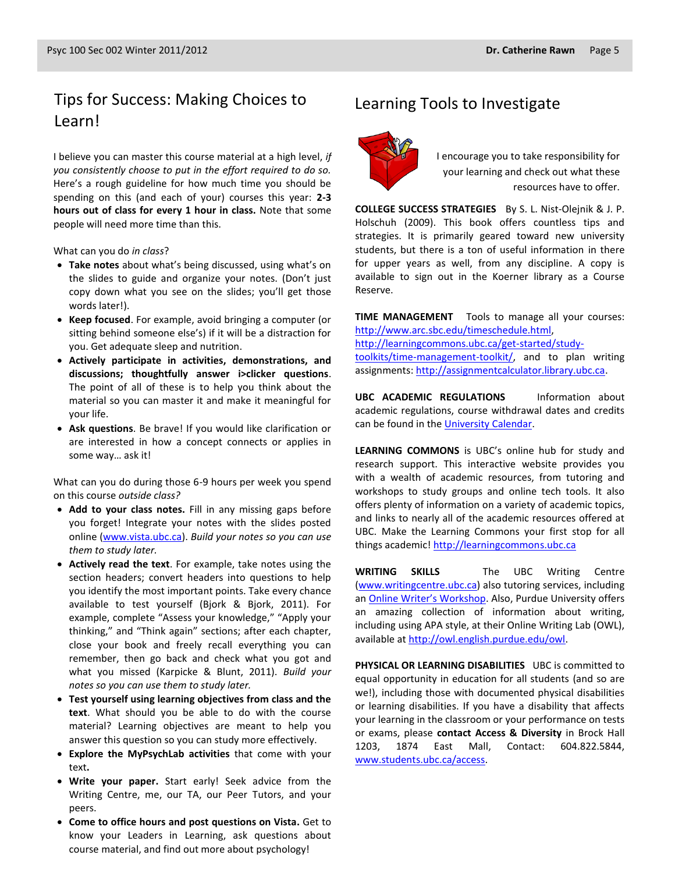## Tips for Success: Making Choices to Learning Tools to Investigate Learn!

I believe you can master this course material at a high level, *if you consistently choose to put in the effort required to do so.* Here's a rough guideline for how much time you should be spending on this (and each of your) courses this year: **2-3 hours out of class for every 1 hour in class.** Note that some people will need more time than this.

What can you do *in class*?

- **Take notes** about what's being discussed, using what's on the slides to guide and organize your notes. (Don't just copy down what you see on the slides; you'll get those words later!).
- **Keep focused**. For example, avoid bringing a computer (or sitting behind someone else's) if it will be a distraction for you. Get adequate sleep and nutrition.
- **Actively participate in activities, demonstrations, and discussions; thoughtfully answer i>clicker questions**. The point of all of these is to help you think about the material so you can master it and make it meaningful for your life.
- **Ask questions**. Be brave! If you would like clarification or are interested in how a concept connects or applies in some way… ask it!

What can you do during those 6-9 hours per week you spend on this course *outside class?*

- **Add to your class notes.** Fill in any missing gaps before you forget! Integrate your notes with the slides posted online [\(www.vista.ubc.ca\)](http://www.vista.ubc.ca/). *Build your notes so you can use them to study later.*
- **Actively read the text**. For example, take notes using the section headers; convert headers into questions to help you identify the most important points. Take every chance available to test yourself (Bjork & Bjork, 2011). For example, complete "Assess your knowledge," "Apply your thinking," and "Think again" sections; after each chapter, close your book and freely recall everything you can remember, then go back and check what you got and what you missed (Karpicke & Blunt, 2011). *Build your notes so you can use them to study later.*
- **Test yourself using learning objectives from class and the text**. What should you be able to do with the course material? Learning objectives are meant to help you answer this question so you can study more effectively.
- **Explore the MyPsychLab activities** that come with your text**.**
- **Write your paper.** Start early! Seek advice from the Writing Centre, me, our TA, our Peer Tutors, and your peers.
- **Come to office hours and post questions on Vista.** Get to know your Leaders in Learning, ask questions about course material, and find out more about psychology!



I encourage you to take responsibility for your learning and check out what these resources have to offer.

**COLLEGE SUCCESS STRATEGIES** By S. L. Nist-Olejnik & J. P. Holschuh (2009). This book offers countless tips and strategies. It is primarily geared toward new university students, but there is a ton of useful information in there for upper years as well, from any discipline. A copy is available to sign out in the Koerner library as a Course Reserve.

**TIME MANAGEMENT** Tools to manage all your courses: [http://www.arc.sbc.edu/timeschedule.html,](http://www.arc.sbc.edu/timeschedule.html) [http://learningcommons.ubc.ca/get-started/study](http://learningcommons.ubc.ca/get-started/study-toolkits/time-management-toolkit/)[toolkits/time-management-toolkit/,](http://learningcommons.ubc.ca/get-started/study-toolkits/time-management-toolkit/) and to plan writing assignments[: http://assignmentcalculator.library.ubc.ca.](http://assignmentcalculator.library.ubc.ca/)

**UBC ACADEMIC REGULATIONS** Information about academic regulations, course withdrawal dates and credits can be found in th[e University Calendar.](http://students.ubc.ca/calendar/academicyear.cfm)

**LEARNING COMMONS** is UBC's online hub for study and research support. This interactive website provides you with a wealth of academic resources, from tutoring and workshops to study groups and online tech tools. It also offers plenty of information on a variety of academic topics, and links to nearly all of the academic resources offered at UBC. Make the Learning Commons your first stop for all things academic! [http://learningcommons.ubc.ca](http://learningcommons.ubc.ca/)

**WRITING SKILLS** The UBC Writing Centre [\(www.writingcentre.ubc.ca\)](http://www.writingcentre.ubc.ca/) also tutoring services, including an [Online Writer's Workshop](http://www.writingcentre.ubc.ca/workshop/index.html). Also, Purdue University offers an amazing collection of information about writing, including using APA style, at their Online Writing Lab (OWL), available at [http://owl.english.purdue.edu/owl.](http://owl.english.purdue.edu/owl/)

**PHYSICAL OR LEARNING DISABILITIES** UBC is committed to equal opportunity in education for all students (and so are we!), including those with documented physical disabilities or learning disabilities. If you have a disability that affects your learning in the classroom or your performance on tests or exams, please **contact Access & Diversity** in Brock Hall 1203, 1874 East Mall, Contact: 604.822.5844, [www.students.ubc.ca/access.](http://www.students.ubc.ca/access)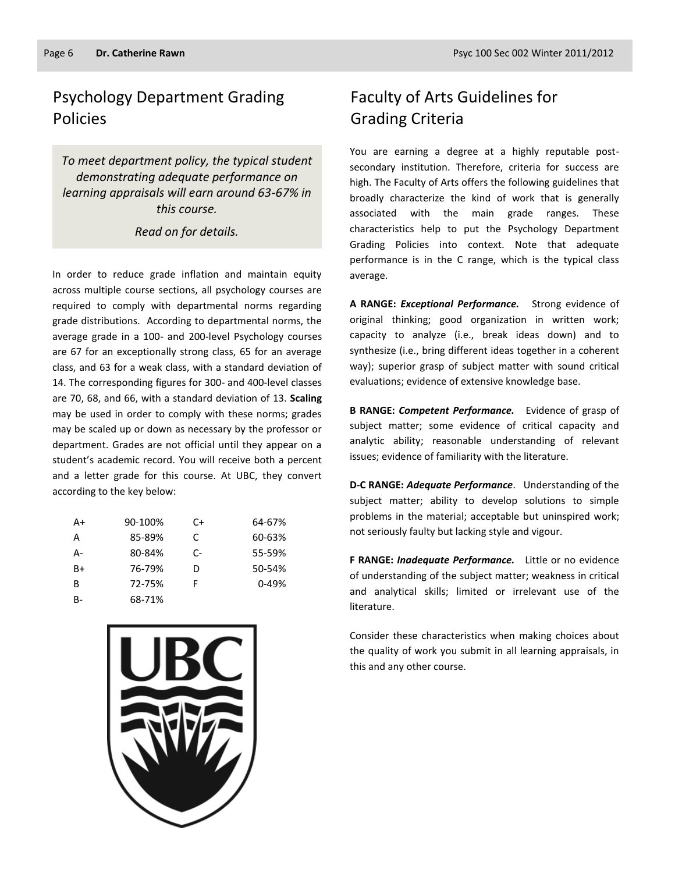## Psychology Department Grading Policies

*To meet department policy, the typical student demonstrating adequate performance on learning appraisals will earn around 63-67% in this course.* 

#### *Read on for details.*

In order to reduce grade inflation and maintain equity across multiple course sections, all psychology courses are required to comply with departmental norms regarding grade distributions. According to departmental norms, the average grade in a 100- and 200-level Psychology courses are 67 for an exceptionally strong class, 65 for an average class, and 63 for a weak class, with a standard deviation of 14. The corresponding figures for 300- and 400-level classes are 70, 68, and 66, with a standard deviation of 13. **Scaling** may be used in order to comply with these norms; grades may be scaled up or down as necessary by the professor or department. Grades are not official until they appear on a student's academic record. You will receive both a percent and a letter grade for this course. At UBC, they convert according to the key below:

| A+    | 90-100% | C+ | 64-67%    |
|-------|---------|----|-----------|
| A     | 85-89%  | C  | 60-63%    |
| А-    | 80-84%  | C- | 55-59%    |
| $B+$  | 76-79%  | D  | 50-54%    |
| B     | 72-75%  | F  | $0 - 49%$ |
| $B -$ | 68-71%  |    |           |



## Faculty of Arts Guidelines for Grading Criteria

You are earning a degree at a highly reputable postsecondary institution. Therefore, criteria for success are high. The Faculty of Arts offers the following guidelines that broadly characterize the kind of work that is generally associated with the main grade ranges. These characteristics help to put the Psychology Department Grading Policies into context. Note that adequate performance is in the C range, which is the typical class average.

**A RANGE:** *Exceptional Performance.* Strong evidence of original thinking; good organization in written work; capacity to analyze (i.e., break ideas down) and to synthesize (i.e., bring different ideas together in a coherent way); superior grasp of subject matter with sound critical evaluations; evidence of extensive knowledge base.

**B RANGE:** *Competent Performance.* Evidence of grasp of subject matter; some evidence of critical capacity and analytic ability; reasonable understanding of relevant issues; evidence of familiarity with the literature.

**D-C RANGE:** *Adequate Performance*. Understanding of the subject matter; ability to develop solutions to simple problems in the material; acceptable but uninspired work; not seriously faulty but lacking style and vigour.

**F RANGE:** *Inadequate Performance.* Little or no evidence of understanding of the subject matter; weakness in critical and analytical skills; limited or irrelevant use of the literature.

Consider these characteristics when making choices about the quality of work you submit in all learning appraisals, in this and any other course.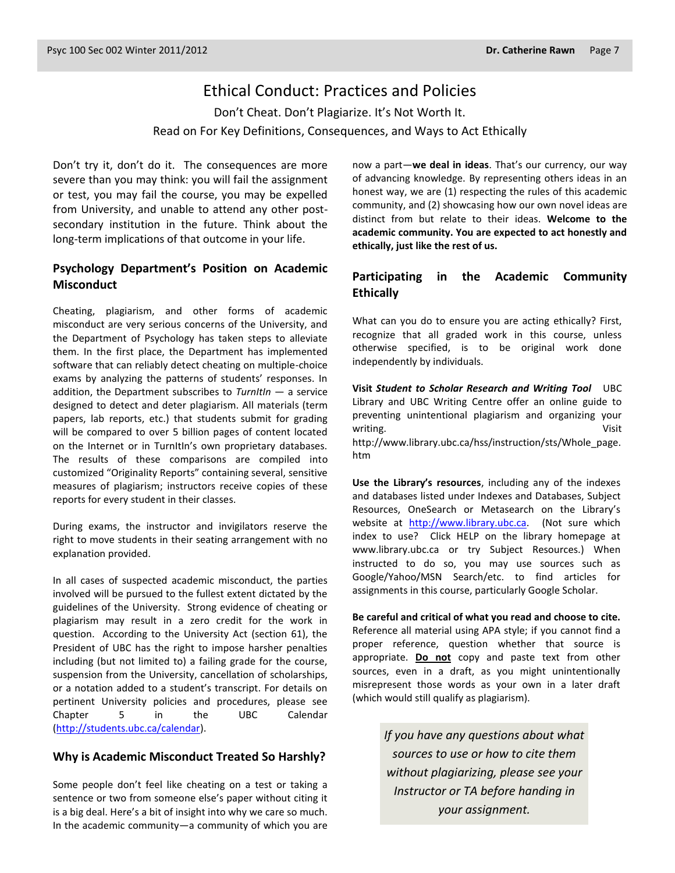## Ethical Conduct: Practices and Policies

Don't Cheat. Don't Plagiarize. It's Not Worth It. Read on For Key Definitions, Consequences, and Ways to Act Ethically

Don't try it, don't do it. The consequences are more severe than you may think: you will fail the assignment or test, you may fail the course, you may be expelled from University, and unable to attend any other postsecondary institution in the future. Think about the long-term implications of that outcome in your life.

### **Psychology Department's Position on Academic Misconduct**

Cheating, plagiarism, and other forms of academic misconduct are very serious concerns of the University, and the Department of Psychology has taken steps to alleviate them. In the first place, the Department has implemented software that can reliably detect cheating on multiple-choice exams by analyzing the patterns of students' responses. In addition, the Department subscribes to *TurnItIn* — a service designed to detect and deter plagiarism. All materials (term papers, lab reports, etc.) that students submit for grading will be compared to over 5 billion pages of content located on the Internet or in TurnItIn's own proprietary databases. The results of these comparisons are compiled into customized "Originality Reports" containing several, sensitive measures of plagiarism; instructors receive copies of these reports for every student in their classes.

During exams, the instructor and invigilators reserve the right to move students in their seating arrangement with no explanation provided.

In all cases of suspected academic misconduct, the parties involved will be pursued to the fullest extent dictated by the guidelines of the University. Strong evidence of cheating or plagiarism may result in a zero credit for the work in question. According to the University Act (section 61), the President of UBC has the right to impose harsher penalties including (but not limited to) a failing grade for the course, suspension from the University, cancellation of scholarships, or a notation added to a student's transcript. For details on pertinent University policies and procedures, please see Chapter 5 in the UBC Calendar [\(http://students.ubc.ca/calendar\)](http://students.ubc.ca/calendar).

#### **Why is Academic Misconduct Treated So Harshly?**

Some people don't feel like cheating on a test or taking a sentence or two from someone else's paper without citing it is a big deal. Here's a bit of insight into why we care so much. In the academic community—a community of which you are now a part—**we deal in ideas**. That's our currency, our way of advancing knowledge. By representing others ideas in an honest way, we are (1) respecting the rules of this academic community, and (2) showcasing how our own novel ideas are distinct from but relate to their ideas. **Welcome to the academic community. You are expected to act honestly and ethically, just like the rest of us.**

### **Participating in the Academic Community Ethically**

What can you do to ensure you are acting ethically? First, recognize that all graded work in this course, unless otherwise specified, is to be original work done independently by individuals.

**Visit** *Student to Scholar Research and Writing Tool* UBC Library and UBC Writing Centre offer an online guide to preventing unintentional plagiarism and organizing your writing. Visit http://www.library.ubc.ca/hss/instruction/sts/Whole\_page. htm

**Use the Library's resources**, including any of the indexes and databases listed under Indexes and Databases, Subject Resources, OneSearch or Metasearch on the Library's website at [http://www.library.ubc.ca.](http://www.library.ubc.ca/) (Not sure which index to use? Click HELP on the library homepage at www.library.ubc.ca or try Subject Resources.) When instructed to do so, you may use sources such as Google/Yahoo/MSN Search/etc. to find articles for assignments in this course, particularly Google Scholar.

**Be careful and critical of what you read and choose to cite.** Reference all material using APA style; if you cannot find a proper reference, question whether that source is appropriate. **Do not** copy and paste text from other sources, even in a draft, as you might unintentionally misrepresent those words as your own in a later draft (which would still qualify as plagiarism).

> *If you have any questions about what sources to use or how to cite them without plagiarizing, please see your Instructor or TA before handing in your assignment.*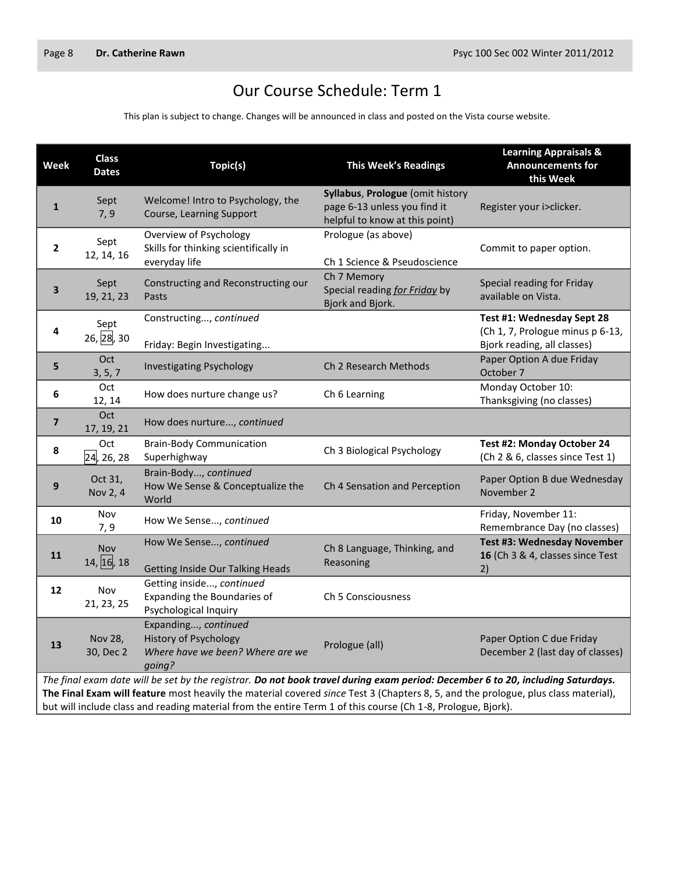H

## Our Course Schedule: Term 1

This plan is subject to change. Changes will be announced in class and posted on the Vista course website.

| <b>Week</b>                                                                                                                                                                                                                                                                                                                                                                           | <b>Class</b><br><b>Dates</b> | Topic(s)                                                                                    | <b>This Week's Readings</b>                                                                        | <b>Learning Appraisals &amp;</b><br><b>Announcements for</b><br>this Week                     |
|---------------------------------------------------------------------------------------------------------------------------------------------------------------------------------------------------------------------------------------------------------------------------------------------------------------------------------------------------------------------------------------|------------------------------|---------------------------------------------------------------------------------------------|----------------------------------------------------------------------------------------------------|-----------------------------------------------------------------------------------------------|
| $\mathbf{1}$                                                                                                                                                                                                                                                                                                                                                                          | Sept<br>7, 9                 | Welcome! Intro to Psychology, the<br>Course, Learning Support                               | Syllabus, Prologue (omit history<br>page 6-13 unless you find it<br>helpful to know at this point) | Register your i>clicker.                                                                      |
| $\mathbf{2}$                                                                                                                                                                                                                                                                                                                                                                          | Sept<br>12, 14, 16           | Overview of Psychology<br>Skills for thinking scientifically in<br>everyday life            | Prologue (as above)<br>Ch 1 Science & Pseudoscience                                                | Commit to paper option.                                                                       |
| 3                                                                                                                                                                                                                                                                                                                                                                                     | Sept<br>19, 21, 23           | Constructing and Reconstructing our<br>Pasts                                                | Ch 7 Memory<br>Special reading for Friday by<br>Bjork and Bjork.                                   | Special reading for Friday<br>available on Vista.                                             |
| 4                                                                                                                                                                                                                                                                                                                                                                                     | Sept<br>26, 28, 30           | Constructing, continued<br>Friday: Begin Investigating                                      |                                                                                                    | Test #1: Wednesday Sept 28<br>(Ch 1, 7, Prologue minus p 6-13,<br>Bjork reading, all classes) |
| 5                                                                                                                                                                                                                                                                                                                                                                                     | Oct<br>3, 5, 7               | <b>Investigating Psychology</b>                                                             | Ch 2 Research Methods                                                                              | Paper Option A due Friday<br>October 7                                                        |
| 6                                                                                                                                                                                                                                                                                                                                                                                     | Oct<br>12, 14                | How does nurture change us?                                                                 | Ch 6 Learning                                                                                      | Monday October 10:<br>Thanksgiving (no classes)                                               |
| $\overline{\mathbf{z}}$                                                                                                                                                                                                                                                                                                                                                               | Oct<br>17, 19, 21            | How does nurture, continued                                                                 |                                                                                                    |                                                                                               |
| 8                                                                                                                                                                                                                                                                                                                                                                                     | Oct<br>24, 26, 28            | <b>Brain-Body Communication</b><br>Superhighway                                             | Ch 3 Biological Psychology                                                                         | Test #2: Monday October 24<br>(Ch 2 & 6, classes since Test 1)                                |
| 9                                                                                                                                                                                                                                                                                                                                                                                     | Oct 31,<br>Nov 2, 4          | Brain-Body, continued<br>How We Sense & Conceptualize the<br>World                          | Ch 4 Sensation and Perception                                                                      | Paper Option B due Wednesday<br>November 2                                                    |
| 10                                                                                                                                                                                                                                                                                                                                                                                    | Nov<br>7,9                   | How We Sense, continued                                                                     |                                                                                                    | Friday, November 11:<br>Remembrance Day (no classes)                                          |
| 11                                                                                                                                                                                                                                                                                                                                                                                    | <b>Nov</b><br>14, 16, 18     | How We Sense, continued<br><b>Getting Inside Our Talking Heads</b>                          | Ch 8 Language, Thinking, and<br>Reasoning                                                          | Test #3: Wednesday November<br>16 (Ch 3 & 4, classes since Test<br>2)                         |
| 12                                                                                                                                                                                                                                                                                                                                                                                    | Nov<br>21, 23, 25            | Getting inside, continued<br>Expanding the Boundaries of<br>Psychological Inquiry           | Ch 5 Consciousness                                                                                 |                                                                                               |
| 13                                                                                                                                                                                                                                                                                                                                                                                    | Nov 28,<br>30, Dec 2         | Expanding, continued<br>History of Psychology<br>Where have we been? Where are we<br>going? | Prologue (all)                                                                                     | Paper Option C due Friday<br>December 2 (last day of classes)                                 |
| The final exam date will be set by the registrar. Do not book travel during exam period: December 6 to 20, including Saturdays.<br>The Final Exam will feature most heavily the material covered since Test 3 (Chapters 8, 5, and the prologue, plus class material),<br>but will include class and reading material from the entire Term 1 of this course (Ch 1-8, Prologue, Bjork). |                              |                                                                                             |                                                                                                    |                                                                                               |